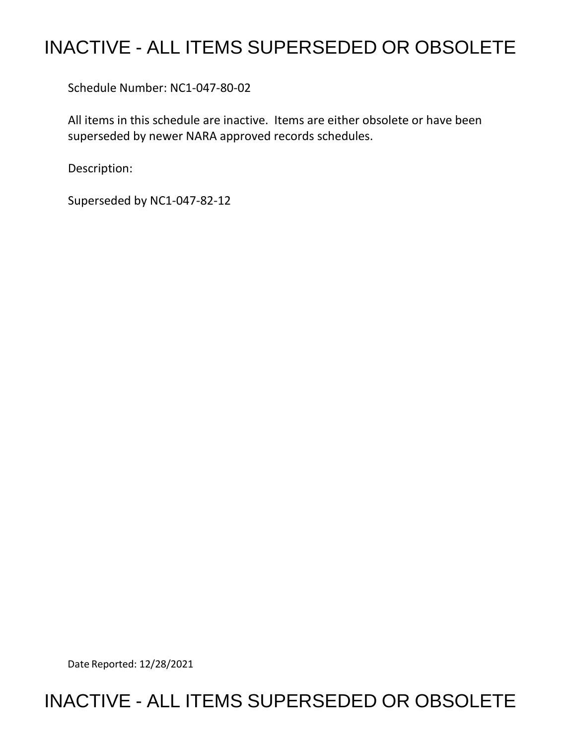# INACTIVE - ALL ITEMS SUPERSEDED OR OBSOLETE

Schedule Number: NC1-047-80-02

All items in this schedule are inactive. Items are either obsolete or have been superseded by newer NARA approved records schedules.

Description:

Superseded by NC1-047-82-12

Date Reported: 12/28/2021

## INACTIVE - ALL ITEMS SUPERSEDED OR OBSOLETE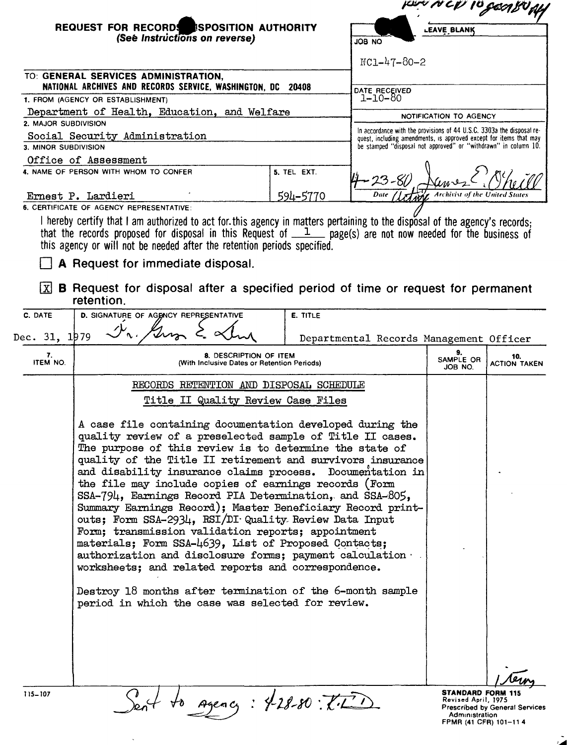|                       | REQUEST FOR RECORDS SPOSITION AUTHORITY<br>(See Instructions on reverse)                                                                                                                                                                                                                                                                                                                                                                                                                                                                                                                                                                                                                                                                                                                                                                                                                                   |             | <b>LEAVE BLANK</b><br>ON 8OL                                                                                                                                                                                   |                                                                   |                                       |  |
|-----------------------|------------------------------------------------------------------------------------------------------------------------------------------------------------------------------------------------------------------------------------------------------------------------------------------------------------------------------------------------------------------------------------------------------------------------------------------------------------------------------------------------------------------------------------------------------------------------------------------------------------------------------------------------------------------------------------------------------------------------------------------------------------------------------------------------------------------------------------------------------------------------------------------------------------|-------------|----------------------------------------------------------------------------------------------------------------------------------------------------------------------------------------------------------------|-------------------------------------------------------------------|---------------------------------------|--|
|                       |                                                                                                                                                                                                                                                                                                                                                                                                                                                                                                                                                                                                                                                                                                                                                                                                                                                                                                            |             | $NC1-47-80-2$                                                                                                                                                                                                  |                                                                   |                                       |  |
|                       | TO: GENERAL SERVICES ADMINISTRATION,                                                                                                                                                                                                                                                                                                                                                                                                                                                                                                                                                                                                                                                                                                                                                                                                                                                                       |             |                                                                                                                                                                                                                |                                                                   |                                       |  |
|                       | NATIONAL ARCHIVES AND RECORDS SERVICE, WASHINGTON, DC 20408                                                                                                                                                                                                                                                                                                                                                                                                                                                                                                                                                                                                                                                                                                                                                                                                                                                |             | DATE_RECEIVED                                                                                                                                                                                                  |                                                                   |                                       |  |
|                       | 1. FROM (AGENCY OR ESTABLISHMENT)<br>Department of Health, Education, and Welfare                                                                                                                                                                                                                                                                                                                                                                                                                                                                                                                                                                                                                                                                                                                                                                                                                          |             | 1-10-80                                                                                                                                                                                                        |                                                                   |                                       |  |
| 2. MAJOR SUBDIVISION  |                                                                                                                                                                                                                                                                                                                                                                                                                                                                                                                                                                                                                                                                                                                                                                                                                                                                                                            |             |                                                                                                                                                                                                                | NOTIFICATION TO AGENCY                                            |                                       |  |
|                       | Social Security Administration                                                                                                                                                                                                                                                                                                                                                                                                                                                                                                                                                                                                                                                                                                                                                                                                                                                                             |             | In accordance with the provisions of 44 U.S.C. 3303a the disposal re-<br>quest, including amendments, is approved except for items that may<br>be stamped "disposal not approved" or "withdrawn" in column 10. |                                                                   |                                       |  |
| 3. MINOR SUBDIVISION  | Office of Assessment                                                                                                                                                                                                                                                                                                                                                                                                                                                                                                                                                                                                                                                                                                                                                                                                                                                                                       |             |                                                                                                                                                                                                                |                                                                   |                                       |  |
|                       | 4. NAME OF PERSON WITH WHOM TO CONFER                                                                                                                                                                                                                                                                                                                                                                                                                                                                                                                                                                                                                                                                                                                                                                                                                                                                      | 5. TEL EXT. |                                                                                                                                                                                                                |                                                                   |                                       |  |
|                       | Ernest P. Lardieri<br>6. CERTIFICATE OF AGENCY REPRESENTATIVE:                                                                                                                                                                                                                                                                                                                                                                                                                                                                                                                                                                                                                                                                                                                                                                                                                                             | 594-5770    | Date                                                                                                                                                                                                           | Archivist of the United States                                    |                                       |  |
| ΙxΙ                   | I hereby certify that I am authorized to act for this agency in matters pertaining to the disposal of the agency's records;<br>that the records proposed for disposal in this Request of $1$ page(s) are not now needed for the business of<br>this agency or will not be needed after the retention periods specified.<br>A Request for immediate disposal.<br><b>B</b> Request for disposal after a specified period of time or request for permanent                                                                                                                                                                                                                                                                                                                                                                                                                                                    |             |                                                                                                                                                                                                                |                                                                   |                                       |  |
| C. DATE               | retention.                                                                                                                                                                                                                                                                                                                                                                                                                                                                                                                                                                                                                                                                                                                                                                                                                                                                                                 |             |                                                                                                                                                                                                                |                                                                   |                                       |  |
| Dec. 31, 1979         | D. SIGNATURE OF AGENCY REPRESENTATIVE                                                                                                                                                                                                                                                                                                                                                                                                                                                                                                                                                                                                                                                                                                                                                                                                                                                                      | E. TITLE    | Departmental Records Management Officer                                                                                                                                                                        |                                                                   |                                       |  |
| 7.<br><b>ITEM NO.</b> | 8. DESCRIPTION OF ITEM<br>(With Inclusive Dates or Retention Periods)                                                                                                                                                                                                                                                                                                                                                                                                                                                                                                                                                                                                                                                                                                                                                                                                                                      |             |                                                                                                                                                                                                                | 9.<br>SAMPLE OR<br>JOB NO.                                        | 10.<br><b>ACTION TAKEN</b>            |  |
|                       | RECORDS RETENTION AND DISPOSAL SCHEDULE                                                                                                                                                                                                                                                                                                                                                                                                                                                                                                                                                                                                                                                                                                                                                                                                                                                                    |             |                                                                                                                                                                                                                |                                                                   |                                       |  |
|                       | Title II Quality Review Case Files                                                                                                                                                                                                                                                                                                                                                                                                                                                                                                                                                                                                                                                                                                                                                                                                                                                                         |             |                                                                                                                                                                                                                |                                                                   |                                       |  |
|                       | A case file containing documentation developed during the<br>quality review of a preselected sample of Title II cases.<br>The purpose of this review is to determine the state of<br>quality of the Title II retirement and survivors insurance<br>and disability insurance claims process. Documentation in<br>the file may include copies of earnings records (Form<br>SSA-794, Earnings Record PIA Determination, and SSA-805,<br>Summary Earnings Record); Master Beneficiary Record print-<br>outs; Form SSA-2934, RSI/DI Quality Review Data Input<br>Form; transmission validation reports; appointment<br>materials; Form SSA-4639, List of Proposed Contacts;<br>authorization and disclosure forms; payment calculation<br>worksheets; and related reports and correspondence.<br>Destroy 18 months after termination of the 6-month sample<br>period in which the case was selected for review. |             |                                                                                                                                                                                                                |                                                                   |                                       |  |
| 115-107               | to Agency: 4-28-80: (1-1)                                                                                                                                                                                                                                                                                                                                                                                                                                                                                                                                                                                                                                                                                                                                                                                                                                                                                  |             |                                                                                                                                                                                                                | <b>STANDARD FORM 115</b><br>Revised April, 1975<br>Administration | <b>Prescribed by General Services</b> |  |

FPMR (41 CFR) 101-11 **4** 

 $\mathcal{L}$